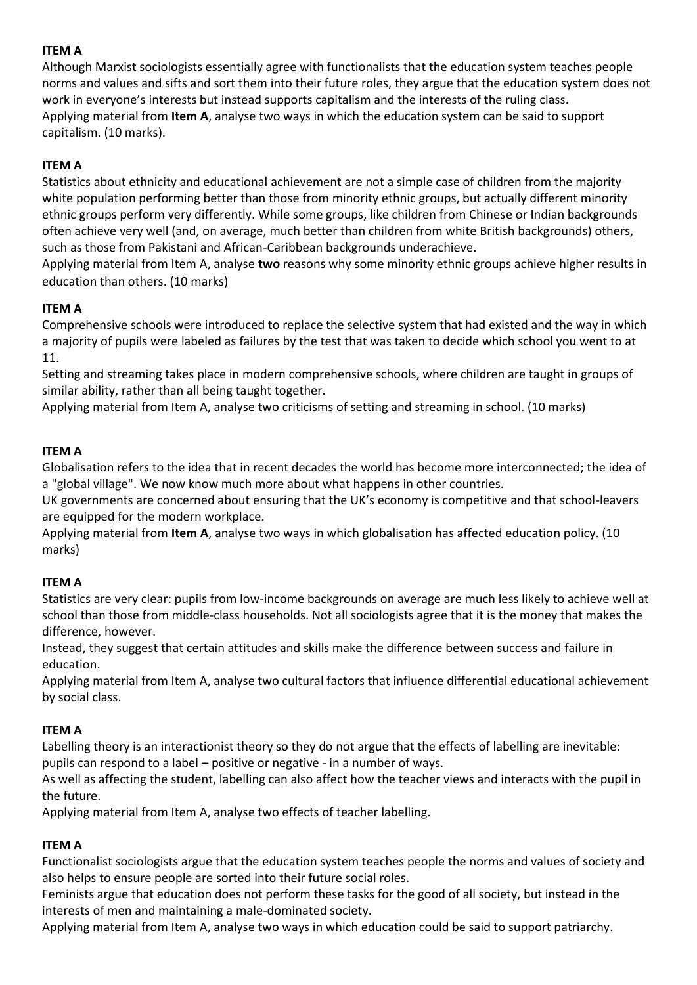## **ITEM A**

Although Marxist sociologists essentially agree with functionalists that the education system teaches people norms and values and sifts and sort them into their future roles, they argue that the education system does not work in everyone's interests but instead supports capitalism and the interests of the ruling class. Applying material from **Item A**, analyse two ways in which the education system can be said to support capitalism. (10 marks).

# **ITEM A**

Statistics about ethnicity and educational achievement are not a simple case of children from the majority white population performing better than those from minority ethnic groups, but actually different minority ethnic groups perform very differently. While some groups, like children from Chinese or Indian backgrounds often achieve very well (and, on average, much better than children from white British backgrounds) others, such as those from Pakistani and African-Caribbean backgrounds underachieve.

Applying material from Item A, analyse **two** reasons why some minority ethnic groups achieve higher results in education than others. (10 marks)

# **ITEM A**

Comprehensive schools were introduced to replace the selective system that had existed and the way in which a majority of pupils were labeled as failures by the test that was taken to decide which school you went to at 11.

Setting and streaming takes place in modern comprehensive schools, where children are taught in groups of similar ability, rather than all being taught together.

Applying material from Item A, analyse two criticisms of setting and streaming in school. (10 marks)

# **ITEM A**

Globalisation refers to the idea that in recent decades the world has become more interconnected; the idea of a "global village". We now know much more about what happens in other countries.

UK governments are concerned about ensuring that the UK's economy is competitive and that school-leavers are equipped for the modern workplace.

Applying material from **Item A**, analyse two ways in which globalisation has affected education policy. (10 marks)

### **ITEM A**

Statistics are very clear: pupils from low-income backgrounds on average are much less likely to achieve well at school than those from middle-class households. Not all sociologists agree that it is the money that makes the difference, however.

Instead, they suggest that certain attitudes and skills make the difference between success and failure in education.

Applying material from Item A, analyse two cultural factors that influence differential educational achievement by social class.

### **ITEM A**

Labelling theory is an interactionist theory so they do not argue that the effects of labelling are inevitable: pupils can respond to a label – positive or negative - in a number of ways.

As well as affecting the student, labelling can also affect how the teacher views and interacts with the pupil in the future.

Applying material from Item A, analyse two effects of teacher labelling.

### **ITEM A**

Functionalist sociologists argue that the education system teaches people the norms and values of society and also helps to ensure people are sorted into their future social roles.

Feminists argue that education does not perform these tasks for the good of all society, but instead in the interests of men and maintaining a male-dominated society.

Applying material from Item A, analyse two ways in which education could be said to support patriarchy.